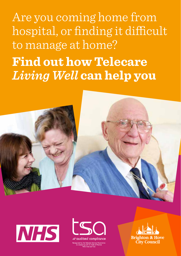Are you coming home from hospital, or finding it difficult to manage at home? **Find out how Telecare**  *Living Well* **can help you**